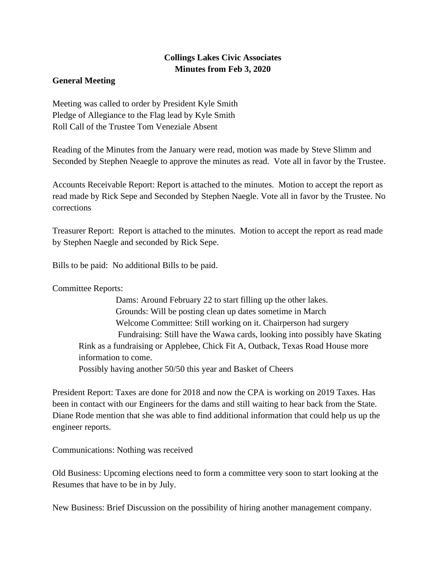## **Collings Lakes Civic Associates Minutes from Feb 3, 2020**

## **General Meeting**

Meeting was called to order by President Kyle Smith Pledge of Allegiance to the Flag lead by Kyle Smith Roll Call of the Trustee Tom Veneziale Absent

Reading of the Minutes from the January were read, motion was made by Steve Slimm and Seconded by Stephen Neaegle to approve the minutes as read. Vote all in favor by the Trustee.

Accounts Receivable Report: Report is attached to the minutes. Motion to accept the report as read made by Rick Sepe and Seconded by Stephen Naegle. Vote all in favor by the Trustee. No corrections

Treasurer Report: Report is attached to the minutes. Motion to accept the report as read made by Stephen Naegle and seconded by Rick Sepe.

Bills to be paid: No additional Bills to be paid.

Committee Reports:

 Dams: Around February 22 to start filling up the other lakes. Grounds: Will be posting clean up dates sometime in March Welcome Committee: Still working on it. Chairperson had surgery Fundraising: Still have the Wawa cards, looking into possibly have Skating Rink as a fundraising or Applebee, Chick Fit A, Outback, Texas Road House more information to come. Possibly having another 50/50 this year and Basket of Cheers

President Report: Taxes are done for 2018 and now the CPA is working on 2019 Taxes. Has been in contact with our Engineers for the dams and still waiting to hear back from the State. Diane Rode mention that she was able to find additional information that could help us up the engineer reports.

Communications: Nothing was received

Old Business: Upcoming elections need to form a committee very soon to start looking at the Resumes that have to be in by July.

New Business: Brief Discussion on the possibility of hiring another management company.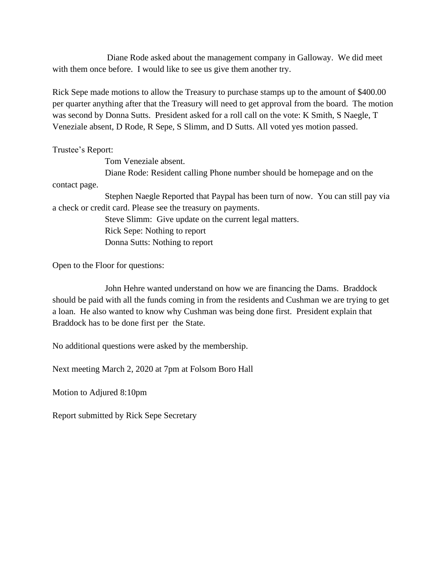Diane Rode asked about the management company in Galloway. We did meet with them once before. I would like to see us give them another try.

Rick Sepe made motions to allow the Treasury to purchase stamps up to the amount of \$400.00 per quarter anything after that the Treasury will need to get approval from the board. The motion was second by Donna Sutts. President asked for a roll call on the vote: K Smith, S Naegle, T Veneziale absent, D Rode, R Sepe, S Slimm, and D Sutts. All voted yes motion passed.

Trustee's Report:

Tom Veneziale absent.

Diane Rode: Resident calling Phone number should be homepage and on the

contact page.

Stephen Naegle Reported that Paypal has been turn of now. You can still pay via a check or credit card. Please see the treasury on payments.

> Steve Slimm: Give update on the current legal matters. Rick Sepe: Nothing to report Donna Sutts: Nothing to report

Open to the Floor for questions:

John Hehre wanted understand on how we are financing the Dams. Braddock should be paid with all the funds coming in from the residents and Cushman we are trying to get a loan. He also wanted to know why Cushman was being done first. President explain that Braddock has to be done first per the State.

No additional questions were asked by the membership.

Next meeting March 2, 2020 at 7pm at Folsom Boro Hall

Motion to Adjured 8:10pm

Report submitted by Rick Sepe Secretary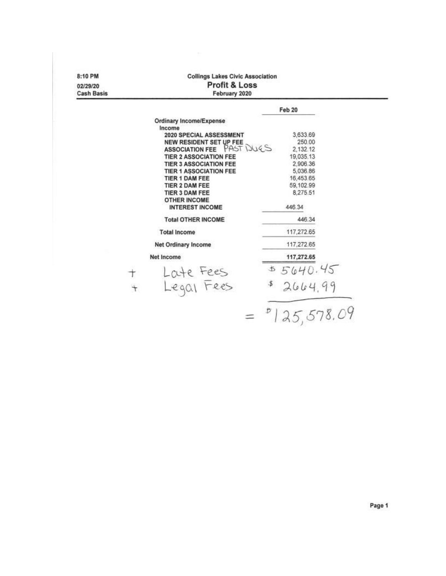| 8:10 PM<br>02/29/20<br><b>Cash Basis</b> | <b>Collings Lakes Civic Association</b><br>Profit & Loss<br>February 2020 |                       |  |  |  |  |  |
|------------------------------------------|---------------------------------------------------------------------------|-----------------------|--|--|--|--|--|
|                                          |                                                                           | Feb 20                |  |  |  |  |  |
|                                          | <b>Ordinary Income/Expense</b>                                            |                       |  |  |  |  |  |
|                                          | Income                                                                    |                       |  |  |  |  |  |
|                                          | 2020 SPECIAL ASSESSMENT                                                   | 3,633.69              |  |  |  |  |  |
|                                          | NEW RESIDENT SET UP FEE                                                   | 250.00                |  |  |  |  |  |
|                                          | PASTINGS<br><b>ASSOCIATION FEE</b>                                        | 2,132.12              |  |  |  |  |  |
|                                          | <b>TIER 2 ASSOCIATION FEE</b><br><b>TIER 3 ASSOCIATION FEE</b>            | 19,035.13<br>2.906.36 |  |  |  |  |  |
|                                          | <b>TIER 1 ASSOCIATION FEE</b>                                             | 5,036.86              |  |  |  |  |  |
|                                          | <b>TIER 1 DAM FEE</b>                                                     | 16,453.65             |  |  |  |  |  |
|                                          | TIER 2 DAM FEE                                                            | 59,102.99             |  |  |  |  |  |
|                                          | TIER 3 DAM FEE                                                            | 8.275.51              |  |  |  |  |  |
|                                          | <b>OTHER INCOME</b>                                                       |                       |  |  |  |  |  |
|                                          | <b>INTEREST INCOME</b>                                                    | 446.34                |  |  |  |  |  |
|                                          | <b>Total OTHER INCOME</b>                                                 | 446.34                |  |  |  |  |  |
|                                          | <b>Total Income</b>                                                       | 117,272.65            |  |  |  |  |  |
|                                          | <b>Net Ordinary Income</b>                                                | 117,272.65            |  |  |  |  |  |
|                                          | Net Income                                                                | 117,272.65            |  |  |  |  |  |
|                                          |                                                                           | 5640.45<br>圡          |  |  |  |  |  |
|                                          | Loute Fees<br>Legal Fees<br>$\overline{\phantom{0}}$                      | 2664.99               |  |  |  |  |  |
|                                          |                                                                           |                       |  |  |  |  |  |
|                                          |                                                                           | 25,578.09             |  |  |  |  |  |